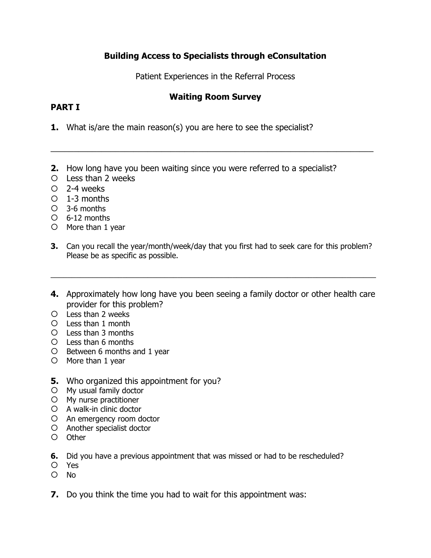# **Building Access to Specialists through eConsultation**

Patient Experiences in the Referral Process

## **Waiting Room Survey**

\_\_\_\_\_\_\_\_\_\_\_\_\_\_\_\_\_\_\_\_\_\_\_\_\_\_\_\_\_\_\_\_\_\_\_\_\_\_\_\_\_\_\_\_\_\_\_\_\_\_\_\_\_\_\_\_\_\_\_\_\_\_\_\_\_\_\_\_\_\_

## **PART I**

- **1.** What is/are the main reason(s) you are here to see the specialist?
- **2.** How long have you been waiting since you were referred to a specialist?
- Less than 2 weeks
- 2-4 weeks
- $O<sub>1-3</sub>$  months
- 3-6 months
- 6-12 months
- $O$  More than 1 year
- **3.** Can you recall the year/month/week/day that you first had to seek care for this problem? Please be as specific as possible.
- **4.** Approximately how long have you been seeing a family doctor or other health care provider for this problem?

\_\_\_\_\_\_\_\_\_\_\_\_\_\_\_\_\_\_\_\_\_\_\_\_\_\_\_\_\_\_\_\_\_\_\_\_\_\_\_\_\_\_\_\_\_\_\_\_\_\_\_\_\_\_\_\_\_\_\_\_\_\_\_\_\_\_\_\_\_\_\_\_\_\_\_\_\_

- Less than 2 weeks
- Less than 1 month
- Less than 3 months
- Less than 6 months
- O Between 6 months and 1 year
- O More than 1 year
- **5.** Who organized this appointment for you?
- My usual family doctor
- My nurse practitioner
- A walk-in clinic doctor
- An emergency room doctor
- Another specialist doctor
- Other
- **6.** Did you have a previous appointment that was missed or had to be rescheduled?
- Yes
- O No
- **7.** Do you think the time you had to wait for this appointment was: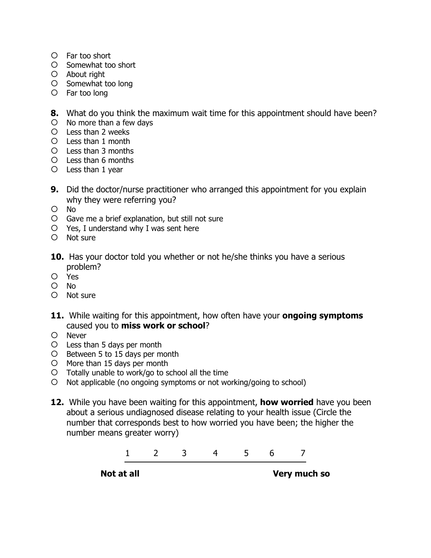- Far too short
- Somewhat too short
- About right
- O Somewhat too long
- Far too long

**8.** What do you think the maximum wait time for this appointment should have been?

- $O$  No more than a few days
- Less than 2 weeks
- Less than 1 month
- Less than 3 months
- Less than 6 months
- Less than 1 year
- **9.** Did the doctor/nurse practitioner who arranged this appointment for you explain why they were referring you?
- No
- Gave me a brief explanation, but still not sure
- Yes, I understand why I was sent here
- Not sure
- **10.** Has your doctor told you whether or not he/she thinks you have a serious problem?
- Yes
- O No
- Not sure
- **11.** While waiting for this appointment, how often have your **ongoing symptoms** caused you to **miss work or school**?
- O Never
- Less than 5 days per month
- O Between 5 to 15 days per month
- O More than 15 days per month
- $O$  Totally unable to work/go to school all the time
- Not applicable (no ongoing symptoms or not working/going to school)
- **12.** While you have been waiting for this appointment, **how worried** have you been about a serious undiagnosed disease relating to your health issue (Circle the number that corresponds best to how worried you have been; the higher the number means greater worry)



**Not at all Source Source Source Source Source Source Source Source Source Source Source Source Source Source Source Source Source Source Source Source Source Source Source Source Source Source Source Source Source Source**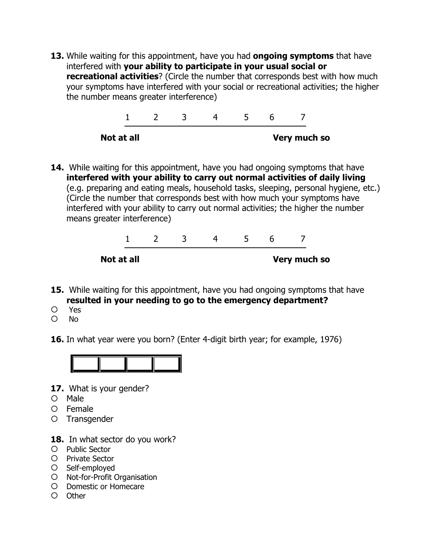**13.** While waiting for this appointment, have you had **ongoing symptoms** that have interfered with **your ability to participate in your usual social or recreational activities**? (Circle the number that corresponds best with how much your symptoms have interfered with your social or recreational activities; the higher the number means greater interference)



**14.** While waiting for this appointment, have you had ongoing symptoms that have **interfered with your ability to carry out normal activities of daily living**  (e.g. preparing and eating meals, household tasks, sleeping, personal hygiene, etc.) (Circle the number that corresponds best with how much your symptoms have interfered with your ability to carry out normal activities; the higher the number means greater interference)



- **15.** While waiting for this appointment, have you had ongoing symptoms that have **resulted in your needing to go to the emergency department?**
- Yes
- $O$  No
- **16.** In what year were you born? (Enter 4-digit birth year; for example, 1976)



- **17.** What is your gender?
- O Male
- Female
- O Transgender
- 18. In what sector do you work?
- O Public Sector
- O Private Sector
- O Self-employed
- O Not-for-Profit Organisation
- O Domestic or Homecare
- O Other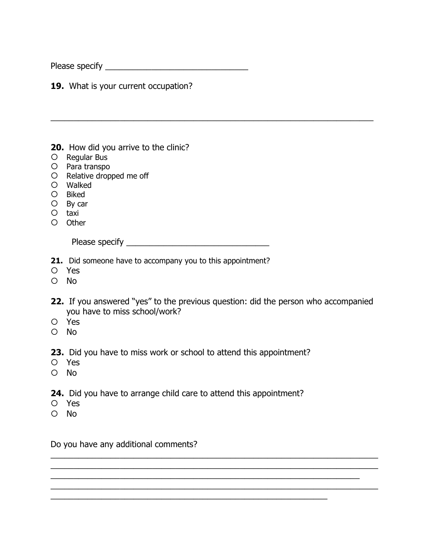Please specify \_\_\_\_\_\_\_\_\_\_\_\_\_\_\_\_\_\_\_\_\_\_\_\_\_\_\_\_\_\_\_

**19.** What is your current occupation?

**20.** How did you arrive to the clinic?

- O Regular Bus
- O Para transpo
- O Relative dropped me off
- Walked
- Biked
- O By car
- taxi
- O Other

Please specify \_\_\_\_\_\_\_\_\_\_\_\_\_\_\_\_\_\_\_\_\_\_\_\_\_\_\_\_\_\_\_

- **21.** Did someone have to accompany you to this appointment?
- Yes
- $O$  No
- **22.** If you answered "yes" to the previous question: did the person who accompanied you have to miss school/work?

\_\_\_\_\_\_\_\_\_\_\_\_\_\_\_\_\_\_\_\_\_\_\_\_\_\_\_\_\_\_\_\_\_\_\_\_\_\_\_\_\_\_\_\_\_\_\_\_\_\_\_\_\_\_\_\_\_\_\_\_\_\_\_\_\_\_\_\_\_\_\_ \_\_\_\_\_\_\_\_\_\_\_\_\_\_\_\_\_\_\_\_\_\_\_\_\_\_\_\_\_\_\_\_\_\_\_\_\_\_\_\_\_\_\_\_\_\_\_\_\_\_\_\_\_\_\_\_\_\_\_\_\_\_\_\_\_\_\_\_\_\_\_ \_\_\_\_\_\_\_\_\_\_\_\_\_\_\_\_\_\_\_\_\_\_\_\_\_\_\_\_\_\_\_\_\_\_\_\_\_\_\_\_\_\_\_\_\_\_\_\_\_\_\_\_\_\_\_\_\_\_\_\_\_\_\_\_\_\_\_ \_\_\_\_\_\_\_\_\_\_\_\_\_\_\_\_\_\_\_\_\_\_\_\_\_\_\_\_\_\_\_\_\_\_\_\_\_\_\_\_\_\_\_\_\_\_\_\_\_\_\_\_\_\_\_\_\_\_\_\_\_\_\_\_\_\_\_\_\_\_\_

\_\_\_\_\_\_\_\_\_\_\_\_\_\_\_\_\_\_\_\_\_\_\_\_\_\_\_\_\_\_\_\_\_\_\_\_\_\_\_\_\_\_\_\_\_\_\_\_\_\_\_\_\_\_\_\_\_\_\_\_

\_\_\_\_\_\_\_\_\_\_\_\_\_\_\_\_\_\_\_\_\_\_\_\_\_\_\_\_\_\_\_\_\_\_\_\_\_\_\_\_\_\_\_\_\_\_\_\_\_\_\_\_\_\_\_\_\_\_\_\_\_\_\_\_\_\_\_\_\_\_

- Yes
- No
- **23.** Did you have to miss work or school to attend this appointment?
- Yes
- No
- **24.** Did you have to arrange child care to attend this appointment?
- Yes
- O No

Do you have any additional comments?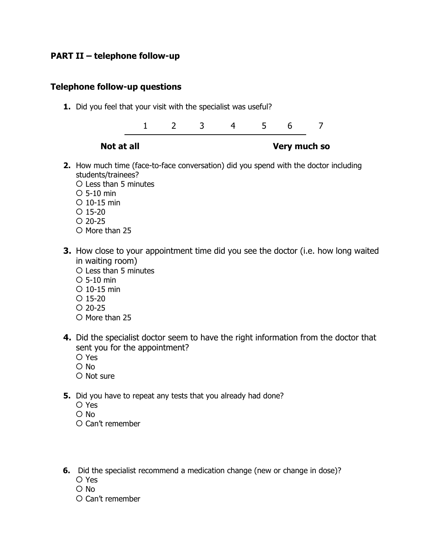## **PART II – telephone follow-up**

#### **Telephone follow-up questions**

**1.** Did you feel that your visit with the specialist was useful?

1 2 3 4 5 6 7

#### **Not at all Source Source Source Source Source Source Source Source Source Source Source Source Source Source Source Source Source Source Source Source Source Source Source Source Source Source Source Source Source Source**

- **2.** How much time (face-to-face conversation) did you spend with the doctor including students/trainees?
	- Less than 5 minutes  $O$  5-10 min 10-15 min  $O$  15-20  $O$  20-25
	- O More than 25
- **3.** How close to your appointment time did you see the doctor (i.e. how long waited in waiting room)
	- Less than 5 minutes
	- 5-10 min
	- $O$  10-15 min
	- $O$  15-20
	- $O$  20-25
	- $O$  More than 25
- **4.** Did the specialist doctor seem to have the right information from the doctor that sent you for the appointment?
	- Yes
	- O No
	- O Not sure
- **5.** Did you have to repeat any tests that you already had done?
	- Yes
	- O No
	- Can't remember
- **6.** Did the specialist recommend a medication change (new or change in dose)?
	- Yes
	- $O$  No
	- Can't remember